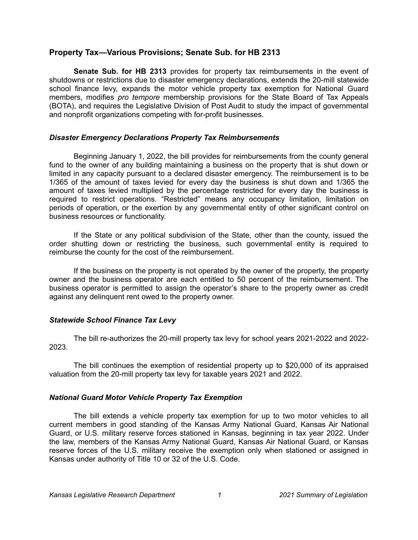# **Property Tax—Various Provisions; Senate Sub. for HB 2313**

**Senate Sub. for HB 2313** provides for property tax reimbursements in the event of shutdowns or restrictions due to disaster emergency declarations, extends the 20-mill statewide school finance levy, expands the motor vehicle property tax exemption for National Guard members, modifies *pro tempore* membership provisions for the State Board of Tax Appeals (BOTA), and requires the Legislative Division of Post Audit to study the impact of governmental and nonprofit organizations competing with for-profit businesses.

### *Disaster Emergency Declarations Property Tax Reimbursements*

Beginning January 1, 2022, the bill provides for reimbursements from the county general fund to the owner of any building maintaining a business on the property that is shut down or limited in any capacity pursuant to a declared disaster emergency. The reimbursement is to be 1/365 of the amount of taxes levied for every day the business is shut down and 1/365 the amount of taxes levied multiplied by the percentage restricted for every day the business is required to restrict operations. "Restricted" means any occupancy limitation, limitation on periods of operation, or the exertion by any governmental entity of other significant control on business resources or functionality.

If the State or any political subdivision of the State, other than the county, issued the order shutting down or restricting the business, such governmental entity is required to reimburse the county for the cost of the reimbursement.

If the business on the property is not operated by the owner of the property, the property owner and the business operator are each entitled to 50 percent of the reimbursement. The business operator is permitted to assign the operator's share to the property owner as credit against any delinquent rent owed to the property owner.

## *Statewide School Finance Tax Levy*

The bill re-authorizes the 20-mill property tax levy for school years 2021-2022 and 2022- 2023.

The bill continues the exemption of residential property up to \$20,000 of its appraised valuation from the 20-mill property tax levy for taxable years 2021 and 2022.

### *National Guard Motor Vehicle Property Tax Exemption*

The bill extends a vehicle property tax exemption for up to two motor vehicles to all current members in good standing of the Kansas Army National Guard, Kansas Air National Guard, or U.S. military reserve forces stationed in Kansas, beginning in tax year 2022. Under the law, members of the Kansas Army National Guard, Kansas Air National Guard, or Kansas reserve forces of the U.S. military receive the exemption only when stationed or assigned in Kansas under authority of Title 10 or 32 of the U.S. Code.